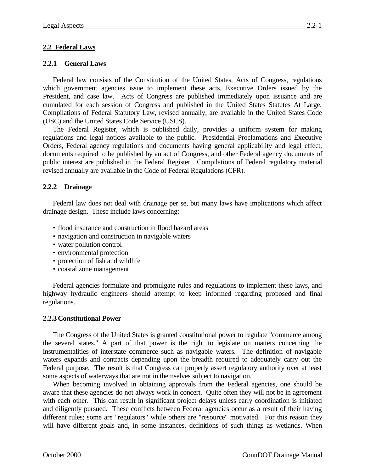## **2.2 Federal Laws**

### **2.2.1 General Laws**

Federal law consists of the Constitution of the United States, Acts of Congress, regulations which government agencies issue to implement these acts, Executive Orders issued by the President, and case law. Acts of Congress are published immediately upon issuance and are cumulated for each session of Congress and published in the United States Statutes At Large. Compilations of Federal Statutory Law, revised annually, are available in the United States Code (USC) and the United States Code Service (USCS).

The Federal Register, which is published daily, provides a uniform system for making regulations and legal notices available to the public. Presidential Proclamations and Executive Orders, Federal agency regulations and documents having general applicability and legal effect, documents required to be published by an act of Congress, and other Federal agency documents of public interest are published in the Federal Register. Compilations of Federal regulatory material revised annually are available in the Code of Federal Regulations (CFR).

## **2.2.2 Drainage**

Federal law does not deal with drainage per se, but many laws have implications which affect drainage design. These include laws concerning:

- flood insurance and construction in flood hazard areas
- navigation and construction in navigable waters
- water pollution control
- environmental protection
- protection of fish and wildlife
- coastal zone management

Federal agencies formulate and promulgate rules and regulations to implement these laws, and highway hydraulic engineers should attempt to keep informed regarding proposed and final regulations.

### **2.2.3 Constitutional Power**

The Congress of the United States is granted constitutional power to regulate "commerce among the several states." A part of that power is the right to legislate on matters concerning the instrumentalities of interstate commerce such as navigable waters. The definition of navigable waters expands and contracts depending upon the breadth required to adequately carry out the Federal purpose. The result is that Congress can properly assert regulatory authority over at least some aspects of waterways that are not in themselves subject to navigation.

When becoming involved in obtaining approvals from the Federal agencies, one should be aware that these agencies do not always work in concert. Quite often they will not be in agreement with each other. This can result in significant project delays unless early coordination is initiated and diligently pursued. These conflicts between Federal agencies occur as a result of their having different rules; some are "regulators" while others are "resource" motivated. For this reason they will have different goals and, in some instances, definitions of such things as wetlands. When